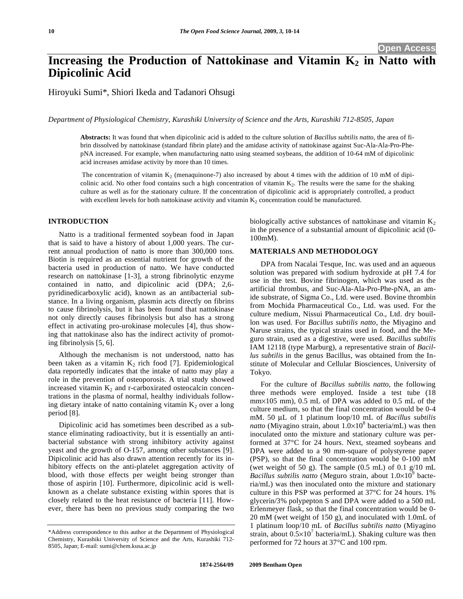# **Increasing the Production of Nattokinase and Vitamin K<sub>2</sub> in Natto with Dipicolinic Acid**

Hiroyuki Sumi\*, Shiori Ikeda and Tadanori Ohsugi

*Department of Physiological Chemistry, Kurashiki University of Science and the Arts, Kurashiki 712-8505, Japan* 

**Abstracts:** It was found that when dipicolinic acid is added to the culture solution of *Bacillus subtilis natto*, the area of fibrin dissolved by nattokinase (standard fibrin plate) and the amidase activity of nattokinase against Suc-Ala-Ala-Pro-PhepNA increased. For example, when manufacturing natto using steamed soybeans, the addition of 10-64 mM of dipicolinic acid increases amidase activity by more than 10 times.

The concentration of vitamin  $K_2$  (menaquinone-7) also increased by about 4 times with the addition of 10 mM of dipicolinic acid. No other food contains such a high concentration of vitamin  $K_2$ . The results were the same for the shaking culture as well as for the stationary culture. If the concentration of dipicolinic acid is appropriately controlled, a product with excellent levels for both nattokinase activity and vitamin  $K_2$  concentration could be manufactured.

# **INTRODUCTION**

Natto is a traditional fermented soybean food in Japan that is said to have a history of about 1,000 years. The current annual production of natto is more than 300,000 tons. Biotin is required as an essential nutrient for growth of the bacteria used in production of natto. We have conducted research on nattokinase [1-3], a strong fibrinolytic enzyme contained in natto, and dipicolinic acid (DPA; 2,6 pyridinedicarboxylic acid), known as an antibacterial substance. In a living organism, plasmin acts directly on fibrins to cause fibrinolysis, but it has been found that nattokinase not only directly causes fibrinolysis but also has a strong effect in activating pro-urokinase molecules [4], thus showing that nattokinase also has the indirect activity of promoting fibrinolysis [5, 6].

Although the mechanism is not understood, natto has been taken as a vitamin  $K_2$  rich food [7]. Epidemiological data reportedly indicates that the intake of natto may play a role in the prevention of osteoporosis. A trial study showed increased vitamin  $K_2$  and r-carboxirated osteocalcin concentrations in the plasma of normal, healthy individuals following dietary intake of natto containing vitamin  $K_2$  over a long period [8].

Dipicolinic acid has sometimes been described as a substance eliminating radioactivity, but it is essentially an antibacterial substance with strong inhibitory activity against yeast and the growth of O-157, among other substances [9]. Dipicolinic acid has also drawn attention recently for its inhibitory effects on the anti-platelet aggregation activity of blood, with those effects per weight being stronger than those of aspirin [10]. Furthermore, dipicolinic acid is wellknown as a chelate substance existing within spores that is closely related to the heat resistance of bacteria [11]. However, there has been no previous study comparing the two

biologically active substances of nattokinase and vitamin  $K_2$ in the presence of a substantial amount of dipicolinic acid (0- 100mM).

# **MATERIALS AND METHODOLOGY**

DPA from Nacalai Tesque, Inc. was used and an aqueous solution was prepared with sodium hydroxide at pH 7.4 for use in the test. Bovine fibrinogen, which was used as the artificial thrombus, and Suc-Ala-Ala-Pro-Phe-pNA, an amide substrate, of Sigma Co., Ltd. were used. Bovine thrombin from Mochida Pharmaceutical Co., Ltd. was used. For the culture medium, Nissui Pharmaceutical Co., Ltd. dry bouillon was used. For *Bacillus subtilis natto*, the Miyagino and Naruse strains, the typical strains used in food, and the Meguro strain, used as a digestive, were used. *Bacillus subtilis* IAM 12118 (type Marburg), a representative strain of *Bacillus subtilis* in the genus Bacillus, was obtained from the Institute of Molecular and Cellular Biosciences, University of Tokyo.

For the culture of *Bacillus subtilis natto*, the following three methods were employed. Inside a test tube (18  $mm\times105$  mm), 0.5 mL of DPA was added to 0.5 mL of the culture medium, so that the final concentration would be 0-4 mM. 50 μL of 1 platinum loop/10 mL of *Bacillus subtilis natto* (Miyagino strain, about  $1.0 \times 10^8$  bacteria/mL) was then inoculated onto the mixture and stationary culture was performed at 37°C for 24 hours. Next, steamed soybeans and DPA were added to a 90 mm-square of polystyrene paper (PSP), so that the final concentration would be 0-100 mM (wet weight of 50 g). The sample  $(0.5 \text{ mL})$  of  $0.1 \text{ g}/10 \text{ mL}$ Bacillus subtilis natto (Meguro strain, about  $1.0 \times 10^9$  bacteria/mL) was then inoculated onto the mixture and stationary culture in this PSP was performed at 37°C for 24 hours. 1% glycerin/3% polypepton S and DPA were added to a 500 mL Erlenmeyer flask, so that the final concentration would be 0- 20 mM (wet weight of 150 g), and inoculated with 1.0mL of 1 platinum loop/10 mL of *Bacillus subtilis natto* (Miyagino strain, about  $0.5 \times 10^7$  bacteria/mL). Shaking culture was then performed for 72 hours at 37°C and 100 rpm.

<sup>\*</sup>Address correspondence to this author at the Department of Physiological Chemistry, Kurashiki University of Science and the Arts, Kurashiki 712- 8505, Japan; E-mail: sumi@chem.kusa.ac.jp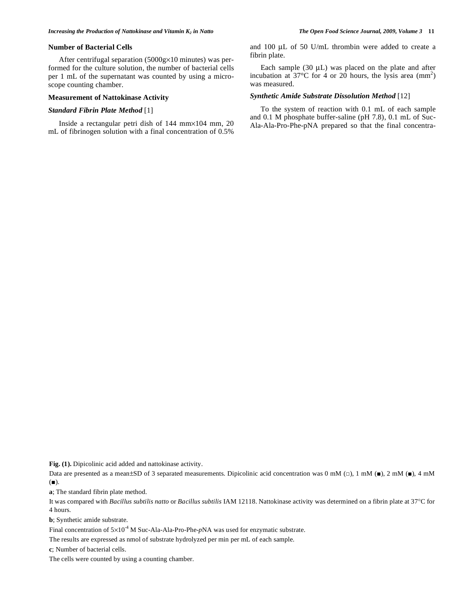#### **Number of Bacterial Cells**

After centrifugal separation  $(5000g\times10$  minutes) was performed for the culture solution, the number of bacterial cells per 1 mL of the supernatant was counted by using a microscope counting chamber.

# **Measurement of Nattokinase Activity**

## *Standard Fibrin Plate Method* [1]

Inside a rectangular petri dish of  $144$  mm $\times 104$  mm, 20 mL of fibrinogen solution with a final concentration of 0.5% and 100 μL of 50 U/mL thrombin were added to create a fibrin plate.

Each sample (30 μL) was placed on the plate and after incubation at  $37^{\circ}$ C for 4 or 20 hours, the lysis area (mm<sup>2</sup>) was measured.

### *Synthetic Amide Substrate Dissolution Method* [12]

To the system of reaction with 0.1 mL of each sample and 0.1 M phosphate buffer-saline (pH 7.8), 0.1 mL of Suc-Ala-Ala-Pro-Phe-pNA prepared so that the final concentra-

**Fig. (1).** Dipicolinic acid added and nattokinase activity.

Data are presented as a mean±SD of 3 separated measurements. Dipicolinic acid concentration was  $0 \text{ mM } (\square)$ ,  $1 \text{ mM } (\square)$ ,  $2 \text{ mM } (\square)$ ,  $4 \text{ mM }$  $($ .

**a**; The standard fibrin plate method.

It was compared with *Bacillus subtilis natto* or *Bacillus subtilis* IAM 12118. Nattokinase activity was determined on a fibrin plate at 37°C for 4 hours.

**b**; Synthetic amide substrate.

Final concentration of  $5\times10^{-4}$  M Suc-Ala-Ala-Pro-Phe-*p*NA was used for enzymatic substrate.

The results are expressed as nmol of substrate hydrolyzed per min per mL of each sample.

**c**; Number of bacterial cells.

The cells were counted by using a counting chamber.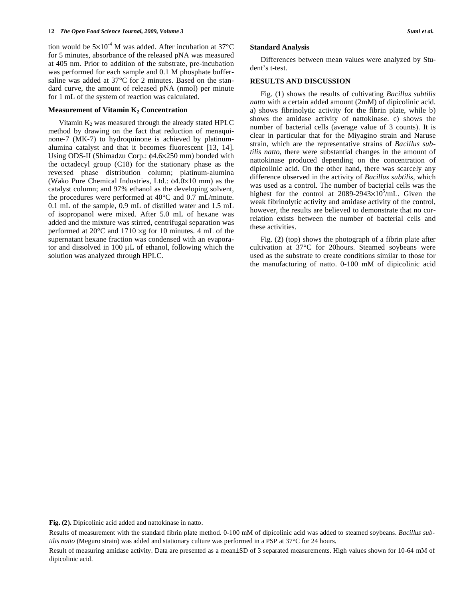tion would be  $5\times10^4$  M was added. After incubation at 37°C for 5 minutes, absorbance of the released pNA was measured at 405 nm. Prior to addition of the substrate, pre-incubation was performed for each sample and 0.1 M phosphate buffersaline was added at 37°C for 2 minutes. Based on the standard curve, the amount of released pNA (nmol) per minute for 1 mL of the system of reaction was calculated.

#### **Measurement of Vitamin K<sub>2</sub> Concentration**

Vitamin  $K_2$  was measured through the already stated HPLC method by drawing on the fact that reduction of menaquinone-7 (MK-7) to hydroquinone is achieved by platinumalumina catalyst and that it becomes fluorescent [13, 14]. Using ODS-II (Shimadzu Corp.:  $\phi$ 4.6×250 mm) bonded with the octadecyl group (C18) for the stationary phase as the reversed phase distribution column; platinum-alumina (Wako Pure Chemical Industries, Ltd.:  $\phi$ 4.0×10 mm) as the catalyst column; and 97% ethanol as the developing solvent, the procedures were performed at 40°C and 0.7 mL/minute. 0.1 mL of the sample, 0.9 mL of distilled water and 1.5 mL of isopropanol were mixed. After 5.0 mL of hexane was added and the mixture was stirred, centrifugal separation was performed at  $20^{\circ}$ C and  $1710 \times g$  for 10 minutes. 4 mL of the supernatant hexane fraction was condensed with an evaporator and dissolved in 100 μL of ethanol, following which the solution was analyzed through HPLC.

#### **Standard Analysis**

Differences between mean values were analyzed by Student's t-test.

# **RESULTS AND DISCUSSION**

Fig. (**1**) shows the results of cultivating *Bacillus subtilis natto* with a certain added amount (2mM) of dipicolinic acid. a) shows fibrinolytic activity for the fibrin plate, while b) shows the amidase activity of nattokinase. c) shows the number of bacterial cells (average value of 3 counts). It is clear in particular that for the Miyagino strain and Naruse strain, which are the representative strains of *Bacillus subtilis natto*, there were substantial changes in the amount of nattokinase produced depending on the concentration of dipicolinic acid. On the other hand, there was scarcely any difference observed in the activity of *Bacillus subtilis*, which was used as a control. The number of bacterial cells was the highest for the control at  $2089-2943\times10^5/\text{mL}$ . Given the weak fibrinolytic activity and amidase activity of the control, however, the results are believed to demonstrate that no correlation exists between the number of bacterial cells and these activities.

Fig. (**2**) (top) shows the photograph of a fibrin plate after cultivation at 37°C for 20hours. Steamed soybeans were used as the substrate to create conditions similar to those for the manufacturing of natto. 0-100 mM of dipicolinic acid

**Fig. (2).** Dipicolinic acid added and nattokinase in natto.

Results of measurement with the standard fibrin plate method. 0-100 mM of dipicolinic acid was added to steamed soybeans. *Bacillus subtilis natto* (Meguro strain) was added and stationary culture was performed in a PSP at 37°C for 24 hours.

Result of measuring amidase activity. Data are presented as a mean±SD of 3 separated measurements. High values shown for 10-64 mM of dipicolinic acid.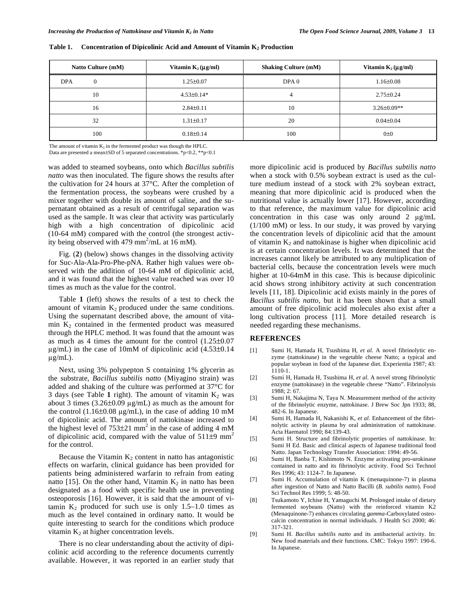| Natto Culture (mM)     | Vitamin $K_2(\mu g/ml)$ | <b>Shaking Culture (mM)</b> | Vitamin $K_2(\mu g/ml)$ |
|------------------------|-------------------------|-----------------------------|-------------------------|
| <b>DPA</b><br>$\Omega$ | $1.25 \pm 0.07$         | DPA 0                       | $1.16 \pm 0.08$         |
| 10                     | $4.53\pm0.14*$          | 4                           | $2.75 \pm 0.24$         |
| 16                     | $2.84\pm0.11$           | 10                          | $3.26 \pm 0.09**$       |
| 32                     | $1.31 \pm 0.17$         | 20                          | $0.04 \pm 0.04$         |
| 100                    | $0.18 \pm 0.14$         | 100                         | $0\pm 0$                |

**Table 1.** Concentration of Dipicolinic Acid and Amount of Vitamin K<sub>2</sub> Production

The amount of vitamin  $K_2$  in the fermented product was though the HPLC.

Data are presented a mean±SD of 5 separated concentrations. \*p<0.2, \*\*p<0.1

was added to steamed soybeans, onto which *Bacillus subtilis natto* was then inoculated. The figure shows the results after the cultivation for 24 hours at 37°C. After the completion of the fermentation process, the soybeans were crushed by a mixer together with double its amount of saline, and the supernatant obtained as a result of centrifugal separation was used as the sample. It was clear that activity was particularly high with a high concentration of dipicolinic acid (10-64 mM) compared with the control (the strongest activity being observed with 479 mm<sup>2</sup>/mL at 16 mM).

Fig. (**2**) (below) shows changes in the dissolving activity for Suc-Ala-Ala-Pro-Phe-pNA. Rather high values were observed with the addition of 10-64 mM of dipicolinic acid, and it was found that the highest value reached was over 10 times as much as the value for the control.

Table **1** (left) shows the results of a test to check the amount of vitamin  $K_2$  produced under the same conditions. Using the supernatant described above, the amount of vitamin  $K_2$  contained in the fermented product was measured through the HPLC method. It was found that the amount was as much as 4 times the amount for the control (1.25±0.07  $\mu$ g/mL) in the case of 10mM of dipicolinic acid (4.53 $\pm$ 0.14  $\mu$ g/mL).

Next, using 3% polypepton S containing 1% glycerin as the substrate, *Bacillus subtilis natto* (Miyagino strain) was added and shaking of the culture was performed at 37°C for 3 days (see Table 1 right). The amount of vitamin  $K_2$  was about 3 times  $(3.26\pm0.09 \text{ µg/mL})$  as much as the amount for the control  $(1.16\pm0.08 \text{ µg/mL})$ , in the case of adding 10 mM of dipicolinic acid. The amount of nattokinase increased to the highest level of  $753\pm21$  mm<sup>2</sup> in the case of adding 4 mM of dipicolinic acid, compared with the value of  $511\pm9$  mm<sup>2</sup> for the control.

Because the Vitamin  $K_2$  content in natto has antagonistic effects on warfarin, clinical guidance has been provided for patients being administered warfarin to refrain from eating natto [15]. On the other hand, Vitamin  $K_2$  in natto has been designated as a food with specific health use in preventing osteoporosis [16]. However, it is said that the amount of vitamin  $K_2$  produced for such use is only 1.5–1.0 times as much as the level contained in ordinary natto. It would be quite interesting to search for the conditions which produce vitamin  $K_2$  at higher concentration levels.

There is no clear understanding about the activity of dipicolinic acid according to the reference documents currently available. However, it was reported in an earlier study that more dipicolinic acid is produced by *Bacillus subtilis natto* when a stock with 0.5% soybean extract is used as the culture medium instead of a stock with 2% soybean extract, meaning that more dipicolinic acid is produced when the nutritional value is actually lower [17]. However, according to that reference, the maximum value for dipicolinic acid concentration in this case was only around 2  $\mu$ g/mL (1/100 mM) or less. In our study, it was proved by varying the concentration levels of dipicolinic acid that the amount of vitamin  $K_2$  and nattokinase is higher when dipicolinic acid is at certain concentration levels. It was determined that the increases cannot likely be attributed to any multiplication of bacterial cells, because the concentration levels were much higher at 10-64mM in this case. This is because dipicolinic acid shows strong inhibitory activity at such concentration levels [11, 18]. Dipicolinic acid exists mainly in the pores of *Bacillus subtilis natto*, but it has been shown that a small amount of free dipicolinic acid molecules also exist after a long cultivation process [11]. More detailed research is needed regarding these mechanisms.

#### **REFERENCES**

- [1] Sumi H, Hamada H, Tsushima H, *et al*. A novel fibrinolytic enzyme (nattokinase) in the vegetable cheese Natto; a typical and popular soybean in food of the Japanese diet. Experientia 1987; 43: 1110-1.
- [2] Sumi H, Hamada H, Tsushima H, *et al*. A novel strong fibrinolytic enzyme (nattokinase) in the vegetable cheese "Natto". Fibrinolysis 1988; 2: 67.
- [3] Sumi H, Nakajima N, Taya N. Measurement method of the activity of the fibrinolytic enzyme, nattokinase. J Brew Soc Jpn 1933; 88, 482-6. In Japanese.
- [4] Sumi H, Hamada H, Nakanishi K, *et al*. Enhancement of the fibrinolytic activity in plasma by oral administration of nattokinase. Acta Haematol 1990; 84:139-43.
- [5] Sumi H. Structure and fibrinolytic properties of nattokinase. In: Sumi H Ed. Basic and clinical aspects of Japanese traditional food Natto. Japan Technology Transfer Association: 1994: 49-56.
- [6] Sumi H, Banba T, Kishimoto N. Enzyme activating pro-urokinase contained in natto and its fibrinolytic activity. Food Sci Technol Res 1996; 43: 1124-7. In Japanese.
- [7] Sumi H. Accumulation of vitamin K (menaquinone-7) in plasma after ingestion of Natto and Natto Bacilli (*B. subtilis natto*). Food Sci Technol Res 1999; 5: 48-50.
- [8] Tsukamoto Y, Ichise H, Yamaguchi M. Prolonged intake of dietary fermented soybeans (Natto) with the reinforced vitamin K2 (Menaquinone-7) enhances circulating *gamma*-Carboxylated osteocalcin concentration in normal individuals. J Health Sci 2000; 46: 317-321.
- [9] Sumi H. *Bacillus subtilis natto* and its antibacterial activity. In: New food materials and their functions. CMC: Tokyo 1997: 190-6. In Japanese.